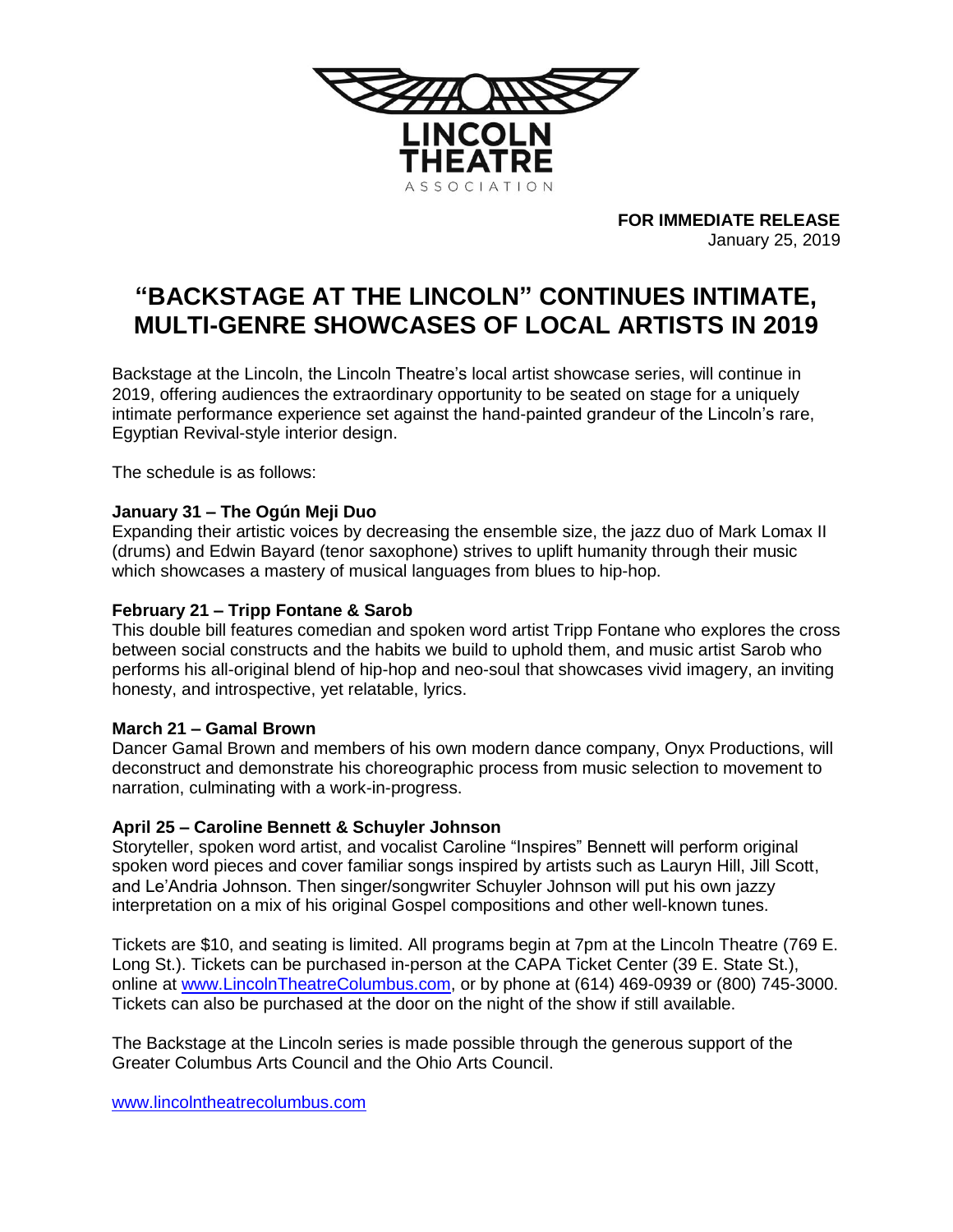

**FOR IMMEDIATE RELEASE** January 25, 2019

# **"BACKSTAGE AT THE LINCOLN" CONTINUES INTIMATE, MULTI-GENRE SHOWCASES OF LOCAL ARTISTS IN 2019**

Backstage at the Lincoln, the Lincoln Theatre's local artist showcase series, will continue in 2019, offering audiences the extraordinary opportunity to be seated on stage for a uniquely intimate performance experience set against the hand-painted grandeur of the Lincoln's rare, Egyptian Revival-style interior design.

The schedule is as follows:

# **January 31 – The Ogún Meji Duo**

Expanding their artistic voices by decreasing the ensemble size, the jazz duo of Mark Lomax II (drums) and Edwin Bayard (tenor saxophone) strives to uplift humanity through their music which showcases a mastery of musical languages from blues to hip-hop.

## **February 21 – Tripp Fontane & Sarob**

This double bill features comedian and spoken word artist Tripp Fontane who explores the cross between social constructs and the habits we build to uphold them, and music artist Sarob who performs his all-original blend of hip-hop and neo-soul that showcases vivid imagery, an inviting honesty, and introspective, yet relatable, lyrics.

### **March 21 – Gamal Brown**

Dancer Gamal Brown and members of his own modern dance company, Onyx Productions, will deconstruct and demonstrate his choreographic process from music selection to movement to narration, culminating with a work-in-progress.

# **April 25 – Caroline Bennett & Schuyler Johnson**

Storyteller, spoken word artist, and vocalist Caroline "Inspires" Bennett will perform original spoken word pieces and cover familiar songs inspired by artists such as Lauryn Hill, Jill Scott, and Le'Andria Johnson. Then singer/songwriter Schuyler Johnson will put his own jazzy interpretation on a mix of his original Gospel compositions and other well-known tunes.

Tickets are \$10, and seating is limited. All programs begin at 7pm at the Lincoln Theatre (769 E. Long St.). Tickets can be purchased in-person at the CAPA Ticket Center (39 E. State St.), online at [www.LincolnTheatreColumbus.com,](http://www.lincolntheatrecolumbus.com/) or by phone at (614) 469-0939 or (800) 745-3000. Tickets can also be purchased at the door on the night of the show if still available.

The Backstage at the Lincoln series is made possible through the generous support of the Greater Columbus Arts Council and the Ohio Arts Council.

[www.lincolntheatrecolumbus.com](http://www.lincolntheatrecolumbus.com/)